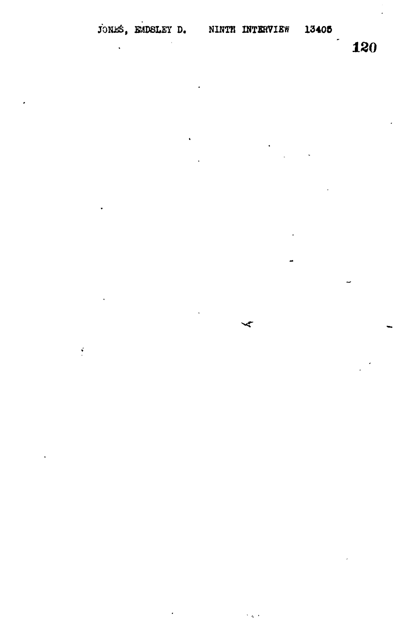$\frac{1}{2}$ 

 $\prec$ 

 $\lambda$ 

120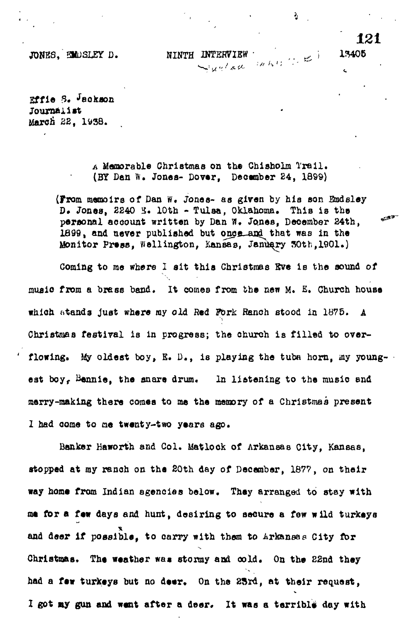**JOKES, SKDSLEY D.**

## **NINTH INTERVIEW •**<br> $\frac{1}{2}$   $\frac{1}{2}$   $\frac{1}{2}$   $\frac{1}{2}$   $\frac{1}{2}$   $\frac{1}{2}$   $\frac{1}{2}$   $\frac{1}{2}$   $\frac{1}{2}$   $\frac{1}{2}$   $\frac{1}{2}$   $\frac{1}{2}$

**121**

5.53

**mo5**

•

**Effie -3. "Jackson Journal le t March 22, 1938.**

> **A Memorable Christmas on the Chisholm Trail. (BY Dan W. Jones- Dover, December 24, 1899)**

**(From memoirs of Dan W. Jones- as given by his son find slay D. Jonos, 2240 S« 10th - Tulsa, Oklahoma. This is the personal account written by Dan 17. Jo.nes, December 24th, 1899) and never published but oncje-and^ that was in the Monitor Press, ?iellington, Kansas, January 30th,1901.)**

**Coming to me where I sit this Christmas Bve is the sound of auaio from a brass band. It comes from the new M. E. Church house which atanda just where my old Red F»rk Ranch stood in 1875.** *A* Christmas festival is in progress; the church is filled to over-**' flowing. My oldest boy, E. D., is playing the tuba horn, my young est boy<sup>f</sup> Beanie, the snare drum. In listening to the music and merry-making there comes to me the memory of a Christmas present I had oome to ae twenty-two years ago.**

Banker Haworth and Col. Matlock of Arkansas City, Kansas, stopped at my ranch on the 20th day of December, 1877, on their **way home from Indian agencies below. They arranged to stay with me for a few days and hunt, desiring to secure a few wild turkeys and deer If possible, to carry with them to Arkansas City for** Christmas. The weather was stormy and cold. On the 22nd they had a few turkeys but no deer. On the 2Srd, at their request, I got my gun and went after a deer. It was a terrible day with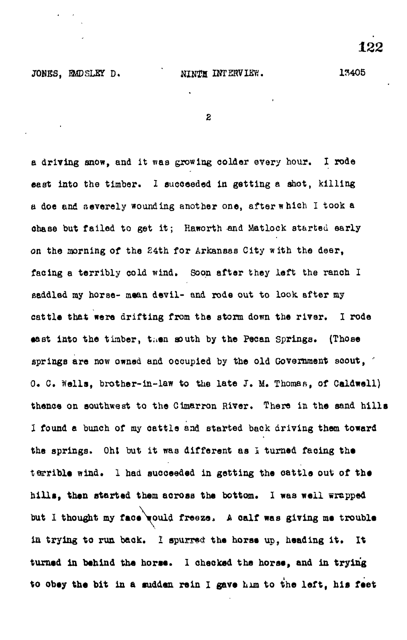$\overline{2}$ 

a driving snow, and it was growing colder every hour. I rode east into the timber. I succeeded in getting a shot, killing a doe and severely wounding another one, after which I took a chase but failed to get it; Haworth and Matlock started early on the morning of the 24th for Arkansas City with the deer, facing a terribly cold wind. Soon after they left the ranch I saddled my horse- mean devil- and rode out to look after my cattle that were drifting from the storm down the river. I rode east into the timber, then south by the Pecan Springs. (Those springs are now owned and occupied by the old Government scout,  $\triangle$ 0. C. Wells, brother-in-law to the late J. M. Thomas, of Caldwell) thence on eouthwest to the Cimarron River. There in the sand hills I found a bunch of my cattle and started back driving them toward the springs. Oh! but it was different as I turned facing the terrible wind. I had succeeded in getting the cattle out of the hills, then started them across the bottom. I was well wrapped but I thought my face would freeze. A calf was giving me trouble in trying to run back. I spurred the horse up, heading it. It turned in behind the horse. I checked the horse, and in trying to obey the bit in a sudden rein I gave him to the left, his feet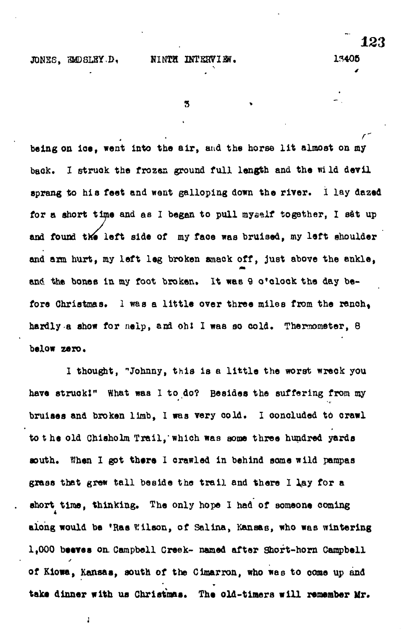ì

3

**being on ioe, went into the air , and the horse li t almost on my back. I struck the frozen ground full length and the wild devil sprang to his feet and went galloping down the river. 1 lay dazed** for a short time and as I began to pull myself together, I set up **and found tke left side of my face was bruised, my left shoulder and arm hurt, my left leg broken smack off, just above the ankle, and the bones in my foot broken. It was 9 o'clock the day be**fore Christmas. I was a little over three miles from the ranch, hardly a show for nelp, and oh! I was so cold. Thermometer, 8 **below zero.**

I thought, "Johnny, this is a little the worst wreck you **have struck!" What waa 1 to do? Besides the suffering from my bruises and broken limb, I was very cold. I concluded to crawl to** *%* **he old Chisholm Trail,'which was some three hundred yards south. When I got there I crawled in behind some wild pampas grass that grew tall beside the trail and there 1 lay for a short time, thinking. The only hope I had of someone coming along would be \*Ras Wilson, of Sallna, Kansas, who was wintering 1,000 beeves on. Campbell Creek- named after Short-horn Campbell of Kiowa, Kansas, south of the Cimarron, who was to corns up and** take dinner with us Christmas. The old-timers will remember Mr.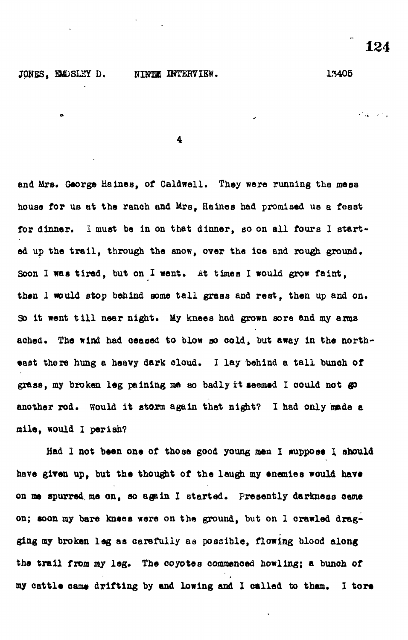$\mathcal{L}^{\mathcal{A}}(\mathcal{L}^{\mathcal{A}})$  and  $\mathcal{L}^{\mathcal{A}}(\mathcal{L}^{\mathcal{A}})$ 

**JONES, EMDSLEY D. NINTE INTERVIEW.** 13405

4

and Mrs. George Haines, of Caldwell. They were running the mess **house for us at the ranoh and Mrs, Haines had promised us a feast** for dinner. I must be in on that dinner, so on all fours I start**ed up the trail , through the snow, over the ice and rough ground. Soon I was tired, but on I went. At times I would grow faint,** then I would stop behind some tall grass and rest, then up and on. So it went till near night. My knees had grown sore and my arms **ached. The wind had ceased to blow so cold, but away in the northeast there hung a heavy dark cloud.** I lay behind a tall bunch of grass, my broken leg paining me so badly it seemed I could not go another rod. Would it storm again that night? I had only made a **mile, would 1 perish?**

**Had 1 not been one of those good young men I suppose X should have given up, but the thought of the laugh my enemies would have on me spurred, me on, so again I started. Presently darkness came on; soon my bare knees were on the ground, but on 1 crawled drag**ging my broken leg as carefully as possible, flowing blood along the trail from my leg. The coyotes commenced howling; a bunch of my cattle came drifting by and lowing and I called to them. I tore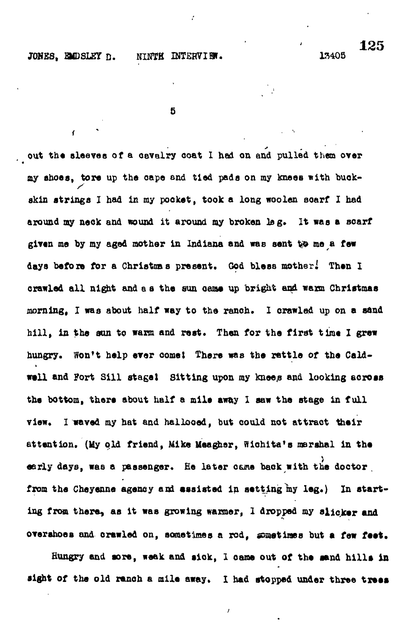**Johnson D. William Theory Islamic Distribution of the Constant Distribution of the Constant Oriental Constant O** 

Б.

**out the sleevee of a cavalry coat I had on and pulled them over my shoes, tore up the capo end tied pads on my knees with buokskin strings 2 bad In my pocket, took a long woolen soarf I had around ay neck and wound it around ay broken lag. It was a soarf** given me by my aged mother in Indiana and was sent to me a few **days before for a Christmas present. God bless mother! Then I** crawled all night and a a the sun came up bright and warm Christmas morning. I was about half way to the ranch. I crawled up on a sand hill, in the sun to warm and rest. Then for the first time I grew hungry. Won't help ever come! There was the rattle of the Caldwell and Fort Sill stage! Sitting upon my knees and looking across **the bottom, there about half a mile away I saw the stage in full** view. I waved my hat and hallooed, but could not attract their **attention. (My old friend, Mike Ueaghor, flichita's marshal in the** early days, was a passenger. He later came back with the doctor, from the Cheyenne agency and assisted in setting my leg.) In start**ing from there, as it was growing warmer, 2 dropped my slicker and** overshoes and crawled on, sometimes a rod, sometimes but a few feet.

Hungry and sore, weak and sick, I came out of the sand hills in **sight of the old ranch a mile away. I had stopped under three trees**

I

**125**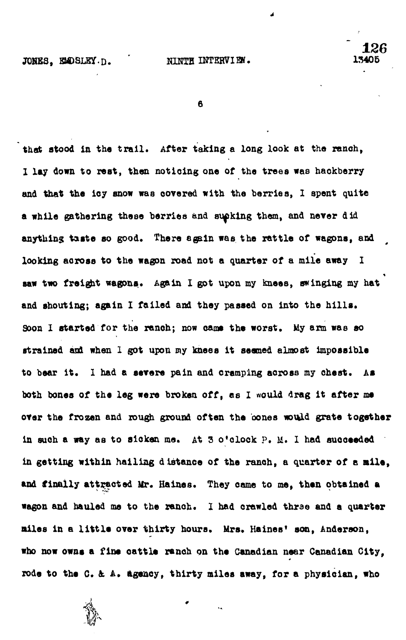**126**

6

**that stood in the trail. After taking a long look at the ranch, X lay down to rest, then noticing one of the trees was haokberry and that the icy snow was covered with the berries, I spent quite** a while gathering these berries and supking them, and never did anything taste so good. There again was the rattle of wagons, and **looking across to the wagon road not a quarter of a mile away I** saw two freight wagons. Again I got upon my knees, swinging my hat **and shouting; again I failed and they passed on into the hills.** Soon I started for the ranch; now came the worst. My arm was so **strained and when 1 got upon my knees it seemed almost impossible to bear it. 1 had a severe pain and cramping across my chest. As both bones of the leg were broken off, as I would drag it after me over the frozen and rough ground often the bones would grate together in such a way as to sicken me. At 3 o'clock P. M. I had succeeded in getting within hailing distance of the ranch, a quarter of a mile, and finally attracted Mr. Haines. They came to me, then obtained a wagon and hauled me to the ranch. I had crawled three and a quarter alias in a littl e over thirty hours, Mrs. Haines<sup>1</sup> son, Anderson, who now owns a fine oattle ranch on the Canadian near Canadian City,** rode to the C. *k* A. agency, thirty miles away, for a physician, who